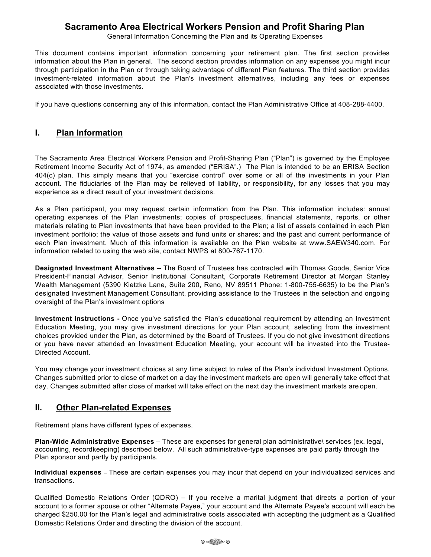## **Sacramento Area Electrical Workers Pension and Profit Sharing Plan**

General Information Concerning the Plan and its Operating Expenses

This document contains important information concerning your retirement plan. The first section provides information about the Plan in general. The second section provides information on any expenses you might incur through participation in the Plan or through taking advantage of different Plan features. The third section provides investment-related information about the Plan's investment alternatives, including any fees or expenses associated with those investments.

If you have questions concerning any of this information, contact the Plan Administrative Office at 408-288-4400.

#### **I. Plan Information**

The Sacramento Area Electrical Workers Pension and Profit-Sharing Plan ("Plan") is governed by the Employee Retirement Income Security Act of 1974, as amended ("ERISA".) The Plan is intended to be an ERISA Section 404(c) plan. This simply means that you "exercise control" over some or all of the investments in your Plan account. The fiduciaries of the Plan may be relieved of liability, or responsibility, for any losses that you may experience as a direct result of your investment decisions.

As a Plan participant, you may request certain information from the Plan. This information includes: annual operating expenses of the Plan investments; copies of prospectuses, financial statements, reports, or other materials relating to Plan investments that have been provided to the Plan; a list of assets contained in each Plan investment portfolio; the value of those assets and fund units or shares; and the past and current performance of each Plan investment. Much of this information is available on the Plan website at www.SAEW340.com. For information related to using the web site, contact NWPS at 800-767-1170.

**Designated Investment Alternatives –** The Board of Trustees has contracted with Thomas Goode, Senior Vice President-Financial Advisor, Senior Institutional Consultant, Corporate Retirement Director at Morgan Stanley Wealth Management (5390 Kietzke Lane, Suite 200, Reno, NV 89511 Phone: 1-800-755-6635) to be the Plan's designated Investment Management Consultant, providing assistance to the Trustees in the selection and ongoing oversight of the Plan's investment options

**Investment Instructions -** Once you've satisfied the Plan's educational requirement by attending an Investment Education Meeting, you may give investment directions for your Plan account, selecting from the investment choices provided under the Plan, as determined by the Board of Trustees. If you do not give investment directions or you have never attended an Investment Education Meeting, your account will be invested into the Trustee-Directed Account.

You may change your investment choices at any time subject to rules of the Plan's individual Investment Options. Changes submitted prior to close of market on a day the investment markets are open will generally take effect that day. Changes submitted after close of market will take effect on the next day the investment markets are open.

### **II. Other Plan-related Expenses**

Retirement plans have different types of expenses.

**Plan-Wide Administrative Expenses** – These are expenses for general plan administrative\ services (ex. legal, accounting, recordkeeping) described below. All such administrative-type expenses are paid partly through the Plan sponsor and partly by participants.

**Individual expenses** – These are certain expenses you may incur that depend on your individualized services and transactions.

Qualified Domestic Relations Order (QDRO) – If you receive a marital judgment that directs a portion of your account to a former spouse or other "Alternate Payee," your account and the Alternate Payee's account will each be charged \$250.00 for the Plan's legal and administrative costs associated with accepting the judgment as a Qualified Domestic Relations Order and directing the division of the account.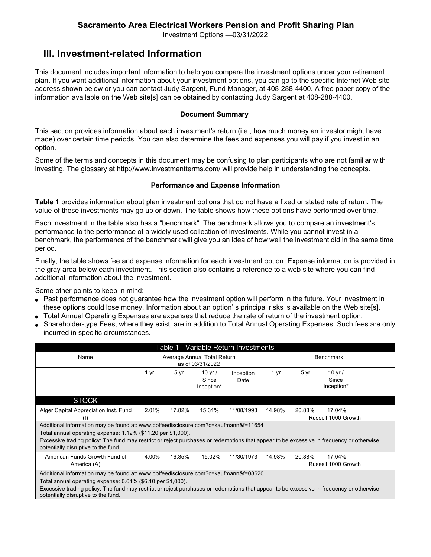## **Sacramento Area Electrical Workers Pension and Profit Sharing Plan**

Investment Options —03/31/2022

# **III. Investment-related Information**

This document includes important information to help you compare the investment options under your retirement plan. If you want additional information about your investment options, you can go to the specific Internet Web site address shown below or you can contact Judy Sargent, Fund Manager, at 408-288-4400. A free paper copy of the information available on the Web site[s] can be obtained by contacting Judy Sargent at 408-288-4400.

#### **Document Summary**

This section provides information about each investment's return (i.e., how much money an investor might have made) over certain time periods. You can also determine the fees and expenses you will pay if you invest in an option.

Some of the terms and concepts in this document may be confusing to plan participants who are not familiar with investing. The glossary at http://www.investmentterms.com/ will provide help in understanding the concepts.

#### **Performance and Expense Information**

**Table 1** provides information about plan investment options that do not have a fixed or stated rate of return. The value of these investments may go up or down. The table shows how these options have performed over time.

Each investment in the table also has a "benchmark". The benchmark allows you to compare an investment's performance to the performance of a widely used collection of investments. While you cannot invest in a benchmark, the performance of the benchmark will give you an idea of how well the investment did in the same time period.

Finally, the table shows fee and expense information for each investment option. Expense information is provided in the gray area below each investment. This section also contains a reference to a web site where you can find additional information about the investment.

Some other points to keep in mind:

- Past performance does not guarantee how the investment option will perform in the future. Your investment in these options could lose money. Information about an option' s principal risks is available on the Web site[s].
- Total Annual Operating Expenses are expenses that reduce the rate of return of the investment option.
- Shareholder-type Fees, where they exist, are in addition to Total Annual Operating Expenses. Such fees are only incurred in specific circumstances.

| Table 1 - Variable Return Investments                                                                                                                                                                                                                                                                                                  |                                                 |        |                                   |                   |                  |        |                                   |  |
|----------------------------------------------------------------------------------------------------------------------------------------------------------------------------------------------------------------------------------------------------------------------------------------------------------------------------------------|-------------------------------------------------|--------|-----------------------------------|-------------------|------------------|--------|-----------------------------------|--|
| Name                                                                                                                                                                                                                                                                                                                                   | Average Annual Total Return<br>as of 03/31/2022 |        |                                   |                   | <b>Benchmark</b> |        |                                   |  |
|                                                                                                                                                                                                                                                                                                                                        | 1 yr.                                           | 5 yr.  | 10 yr. $/$<br>Since<br>Inception* | Inception<br>Date | 1 yr.            | 5 yr.  | 10 yr. $/$<br>Since<br>Inception* |  |
| <b>STOCK</b>                                                                                                                                                                                                                                                                                                                           |                                                 |        |                                   |                   |                  |        |                                   |  |
| Alger Capital Appreciation Inst. Fund<br>(1)                                                                                                                                                                                                                                                                                           | 2.01%                                           | 17.82% | 15.31%                            | 11/08/1993        | 14.98%           | 20.88% | 17.04%<br>Russell 1000 Growth     |  |
| Additional information may be found at: www.dolfeedisclosure.com?c=kaufmann&f=11654<br>Total annual operating expense: 1.12% (\$11.20 per \$1,000).<br>Excessive trading policy: The fund may restrict or reject purchases or redemptions that appear to be excessive in frequency or otherwise<br>potentially disruptive to the fund. |                                                 |        |                                   |                   |                  |        |                                   |  |
| American Funds Growth Fund of<br>America (A)                                                                                                                                                                                                                                                                                           | 4.00%                                           | 16.35% | 15.02%                            | 11/30/1973        | 14.98%           | 20.88% | 17.04%<br>Russell 1000 Growth     |  |
| Additional information may be found at: www.dolfeedisclosure.com?c=kaufmann&f=08620<br>Total annual operating expense: 0.61% (\$6.10 per \$1,000).<br>Excessive trading policy: The fund may restrict or reject purchases or redemptions that appear to be excessive in frequency or otherwise<br>potentially disruptive to the fund.  |                                                 |        |                                   |                   |                  |        |                                   |  |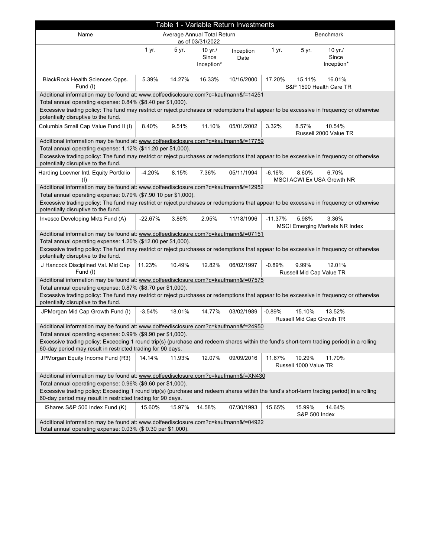| Table 1 - Variable Return Investments                                                                                                                                                                                                                                                                                                 |                                                 |        |                                |                   |                                                                      |  |  |  |
|---------------------------------------------------------------------------------------------------------------------------------------------------------------------------------------------------------------------------------------------------------------------------------------------------------------------------------------|-------------------------------------------------|--------|--------------------------------|-------------------|----------------------------------------------------------------------|--|--|--|
| Name                                                                                                                                                                                                                                                                                                                                  | Average Annual Total Return<br>as of 03/31/2022 |        |                                |                   | <b>Benchmark</b>                                                     |  |  |  |
|                                                                                                                                                                                                                                                                                                                                       | 1 yr.                                           | 5 yr.  | 10 yr./<br>Since<br>Inception* | Inception<br>Date | 1 yr.<br>5 yr.<br>$10 \text{ yr}$ ./<br>Since<br>Inception*          |  |  |  |
| BlackRock Health Sciences Opps.<br>Fund (I)                                                                                                                                                                                                                                                                                           | 5.39%                                           | 14.27% | 16.33%                         | 10/16/2000        | 17.20%<br>15.11%<br>16.01%<br>S&P 1500 Health Care TR                |  |  |  |
| Additional information may be found at: www.dolfeedisclosure.com?c=kaufmann&f=14251<br>Total annual operating expense: 0.84% (\$8.40 per \$1,000).<br>Excessive trading policy: The fund may restrict or reject purchases or redemptions that appear to be excessive in frequency or otherwise<br>potentially disruptive to the fund. |                                                 |        |                                |                   |                                                                      |  |  |  |
| Columbia Small Cap Value Fund II (I)                                                                                                                                                                                                                                                                                                  | 8.40%                                           | 9.51%  | 11.10%                         | 05/01/2002        | 10.54%<br>3.32%<br>8.57%<br>Russell 2000 Value TR                    |  |  |  |
| Additional information may be found at: www.dolfeedisclosure.com?c=kaufmann&f=17759                                                                                                                                                                                                                                                   |                                                 |        |                                |                   |                                                                      |  |  |  |
| Total annual operating expense: 1.12% (\$11.20 per \$1,000).                                                                                                                                                                                                                                                                          |                                                 |        |                                |                   |                                                                      |  |  |  |
| Excessive trading policy: The fund may restrict or reject purchases or redemptions that appear to be excessive in frequency or otherwise<br>potentially disruptive to the fund.                                                                                                                                                       |                                                 |        |                                |                   |                                                                      |  |  |  |
| Harding Loevner Intl. Equity Portfolio<br>(1)                                                                                                                                                                                                                                                                                         | $-4.20%$                                        | 8.15%  | 7.36%                          | 05/11/1994        | $-6.16%$<br>8.60%<br>6.70%<br>MSCI ACWI Ex USA Growth NR             |  |  |  |
| Additional information may be found at: www.dolfeedisclosure.com?c=kaufmann&f=12952                                                                                                                                                                                                                                                   |                                                 |        |                                |                   |                                                                      |  |  |  |
| Total annual operating expense: 0.79% (\$7.90 10 per \$1,000).<br>Excessive trading policy: The fund may restrict or reject purchases or redemptions that appear to be excessive in frequency or otherwise<br>potentially disruptive to the fund.                                                                                     |                                                 |        |                                |                   |                                                                      |  |  |  |
| Invesco Developing Mkts Fund (A)                                                                                                                                                                                                                                                                                                      | $-22.67%$                                       | 3.86%  | 2.95%                          | 11/18/1996        | 3.36%<br>$-11.37%$<br>5.98%<br><b>MSCI Emerging Markets NR Index</b> |  |  |  |
| Additional information may be found at: www.dolfeedisclosure.com?c=kaufmann&f=07151                                                                                                                                                                                                                                                   |                                                 |        |                                |                   |                                                                      |  |  |  |
| Total annual operating expense: 1.20% (\$12.00 per \$1,000).                                                                                                                                                                                                                                                                          |                                                 |        |                                |                   |                                                                      |  |  |  |
| Excessive trading policy: The fund may restrict or reject purchases or redemptions that appear to be excessive in frequency or otherwise<br>potentially disruptive to the fund.                                                                                                                                                       |                                                 |        |                                |                   |                                                                      |  |  |  |
| J Hancock Disciplined Val. Mid Cap<br>Fund (I)                                                                                                                                                                                                                                                                                        | 11.23%                                          | 10.49% | 12.82%                         | 06/02/1997        | 9.99%<br>$-0.89%$<br>12.01%<br>Russell Mid Cap Value TR              |  |  |  |
| Additional information may be found at: www.dolfeedisclosure.com?c=kaufmann&f=07575                                                                                                                                                                                                                                                   |                                                 |        |                                |                   |                                                                      |  |  |  |
| Total annual operating expense: 0.87% (\$8.70 per \$1,000).                                                                                                                                                                                                                                                                           |                                                 |        |                                |                   |                                                                      |  |  |  |
| Excessive trading policy: The fund may restrict or reject purchases or redemptions that appear to be excessive in frequency or otherwise<br>potentially disruptive to the fund.                                                                                                                                                       |                                                 |        |                                |                   |                                                                      |  |  |  |
| JPMorgan Mid Cap Growth Fund (I)                                                                                                                                                                                                                                                                                                      | $-3.54%$                                        | 18.01% | 14.77%                         | 03/02/1989        | 15.10%<br>$-0.89%$<br>13.52%<br>Russell Mid Cap Growth TR            |  |  |  |
| Additional information may be found at: www.dolfeedisclosure.com?c=kaufmann&f=24950                                                                                                                                                                                                                                                   |                                                 |        |                                |                   |                                                                      |  |  |  |
| Total annual operating expense: 0.99% (\$9.90 per \$1,000).                                                                                                                                                                                                                                                                           |                                                 |        |                                |                   |                                                                      |  |  |  |
| Excessive trading policy: Exceeding 1 round trip(s) (purchase and redeem shares within the fund's short-term trading period) in a rolling<br>60-day period may result in restricted trading for 90 days.                                                                                                                              |                                                 |        |                                |                   |                                                                      |  |  |  |
| JPMorgan Equity Income Fund (R3)                                                                                                                                                                                                                                                                                                      | 14.14%                                          | 11.93% | 12.07%                         | 09/09/2016        | 11.67%<br>10.29%<br>11.70%<br>Russell 1000 Value TR                  |  |  |  |
| Additional information may be found at: www.dolfeedisclosure.com?c=kaufmann&f=XN430                                                                                                                                                                                                                                                   |                                                 |        |                                |                   |                                                                      |  |  |  |
| Total annual operating expense: 0.96% (\$9.60 per \$1,000).                                                                                                                                                                                                                                                                           |                                                 |        |                                |                   |                                                                      |  |  |  |
| Excessive trading policy: Exceeding 1 round trip(s) (purchase and redeem shares within the fund's short-term trading period) in a rolling<br>60-day period may result in restricted trading for 90 days.                                                                                                                              |                                                 |        |                                |                   |                                                                      |  |  |  |
| iShares S&P 500 Index Fund (K)                                                                                                                                                                                                                                                                                                        | 15.60%                                          | 15.97% | 14.58%                         | 07/30/1993        | 15.65%<br>15.99%<br>14.64%<br>S&P 500 Index                          |  |  |  |
| Additional information may be found at: www.dolfeedisclosure.com?c=kaufmann&f=04922<br>Total annual operating expense: 0.03% (\$ 0.30 per \$1,000).                                                                                                                                                                                   |                                                 |        |                                |                   |                                                                      |  |  |  |